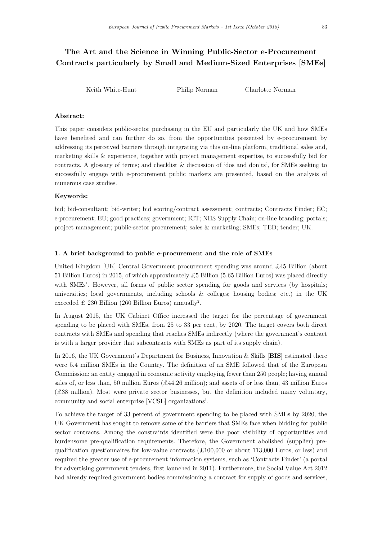# The Art and the Science in Winning Public-Sector e-Procurement Contracts particularly by Small and Medium-Sized Enterprises [SMEs]

Keith White-Hunt Philip Norman Charlotte Norman

## Abstract:

This paper considers public-sector purchasing in the EU and particularly the UK and how SMEs have benefited and can further do so, from the opportunities presented by e-procurement by addressing its perceived barriers through integrating via this on-line platform, traditional sales and, marketing skills & experience, together with project management expertise, to successfully bid for contracts. A glossary of terms; and checklist & discussion of 'dos and don'ts', for SMEs seeking to successfully engage with e-procurement public markets are presented, based on the analysis of numerous case studies.

## Keywords:

bid; bid-consultant; bid-writer; bid scoring/contract assessment; contracts; Contracts Finder; EC; e-procurement; EU; good practices; government; ICT; NHS Supply Chain; on-line branding; portals; project management; public-sector procurement; sales & marketing; SMEs; TED; tender; UK.

#### 1. A brief background to public e-procurement and the role of SMEs

United Kingdom [UK] Central Government procurement spending was around £45 Billion (about 51 Billion Euros) in 2015, of which approximately £5 Billion (5.65 Billion Euros) was placed directly with SMEs<sup>1</sup>. However, all forms of public sector spending for goods and services (by hospitals; universities; local governments, including schools & colleges; housing bodies; etc.) in the UK exceeded £ 230 Billion (260 Billion Euros) annually<sup>2</sup>.

In August 2015, the UK Cabinet Office increased the target for the percentage of government spending to be placed with SMEs, from 25 to 33 per cent, by 2020. The target covers both direct contracts with SMEs and spending that reaches SMEs indirectly (where the government's contract is with a larger provider that subcontracts with SMEs as part of its supply chain).

In 2016, the UK Government's Department for Business, Innovation & Skills [BIS] estimated there were 5.4 million SMEs in the Country. The definition of an SME followed that of the European Commission: an entity engaged in economic activity employing fewer than 250 people; having annual sales of, or less than, 50 million Euros (£44.26 million); and assets of or less than, 43 million Euros (£38 million). Most were private sector businesses, but the definition included many voluntary, community and social enterprise [VCSE] organizations<sup>1</sup> .

To achieve the target of 33 percent of government spending to be placed with SMEs by 2020, the UK Government has sought to remove some of the barriers that SMEs face when bidding for public sector contracts. Among the constraints identified were the poor visibility of opportunities and burdensome pre-qualification requirements. Therefore, the Government abolished (supplier) prequalification questionnaires for low-value contracts  $(\pounds100,000$  or about 113,000 Euros, or less) and required the greater use of e-procurement information systems, such as 'Contracts Finder' (a portal for advertising government tenders, first launched in 2011). Furthermore, the Social Value Act 2012 had already required government bodies commissioning a contract for supply of goods and services,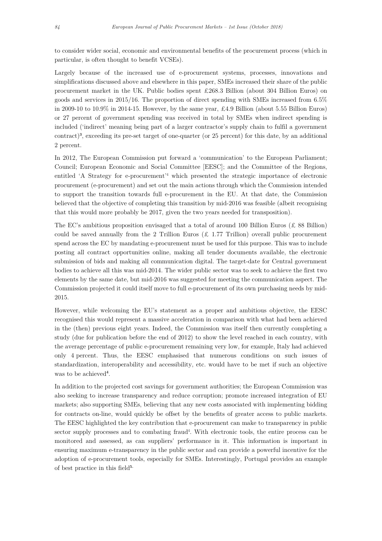to consider wider social, economic and environmental benefits of the procurement process (which in particular, is often thought to benefit VCSEs).

Largely because of the increased use of e-procurement systems, processes, innovations and simplifications discussed above and elsewhere in this paper, SMEs increased their share of the public procurement market in the UK. Public bodies spent £268.3 Billion (about 304 Billion Euros) on goods and services in 2015/16. The proportion of direct spending with SMEs increased from 6.5% in 2009-10 to 10.9% in 2014-15. However, by the same year, £4.9 Billion (about 5.55 Billion Euros) or 27 percent of government spending was received in total by SMEs when indirect spending is included ('indirect' meaning being part of a larger contractor's supply chain to fulfil a government contract)<sup>3</sup> , exceeding its pre-set target of one-quarter (or 25 percent) for this date, by an additional 2 percent.

In 2012, The European Commission put forward a 'communication' to the European Parliament; Council; European Economic and Social Committee [EESC]; and the Committee of the Regions, entitled 'A Strategy for e-procurement'<sup>4</sup> which presented the strategic importance of electronic procurement (e-procurement) and set out the main actions through which the Commission intended to support the transition towards full e-procurement in the EU. At that date, the Commission believed that the objective of completing this transition by mid-2016 was feasible (albeit recognising that this would more probably be 2017, given the two years needed for transposition).

The EC's ambitious proposition envisaged that a total of around 100 Billion Euros (£ 88 Billion) could be saved annually from the 2 Trillion Euros ( $\pounds$  1.77 Trillion) overall public procurement spend across the EC by mandating e-procurement must be used for this purpose. This was to include posting all contract opportunities online, making all tender documents available, the electronic submission of bids and making all communication digital. The target-date for Central government bodies to achieve all this was mid-2014. The wider public sector was to seek to achieve the first two elements by the same date, but mid-2016 was suggested for meeting the communication aspect. The Commission projected it could itself move to full e-procurement of its own purchasing needs by mid-2015.

However, while welcoming the EU's statement as a proper and ambitious objective, the EESC recognised this would represent a massive acceleration in comparison with what had been achieved in the (then) previous eight years. Indeed, the Commission was itself then currently completing a study (due for publication before the end of 2012) to show the level reached in each country, with the average percentage of public e-procurement remaining very low, for example, Italy had achieved only 4 percent. Thus, the EESC emphasised that numerous conditions on such issues of standardization, interoperability and accessibility, etc. would have to be met if such an objective was to be achieved<sup>4</sup>.

In addition to the projected cost savings for government authorities; the European Commission was also seeking to increase transparency and reduce corruption; promote increased integration of EU markets; also supporting SMEs, believing that any new costs associated with implementing bidding for contracts on-line, would quickly be offset by the benefits of greater access to public markets. The EESC highlighted the key contribution that e-procurement can make to transparency in public sector supply processes and to combating fraud<sup>4</sup>. With electronic tools, the entire process can be monitored and assessed, as can suppliers' performance in it. This information is important in ensuring maximum e-transparency in the public sector and can provide a powerful incentive for the adoption of e-procurement tools, especially for SMEs. Interestingly, Portugal provides an example of best practice in this field<sup>5.</sup>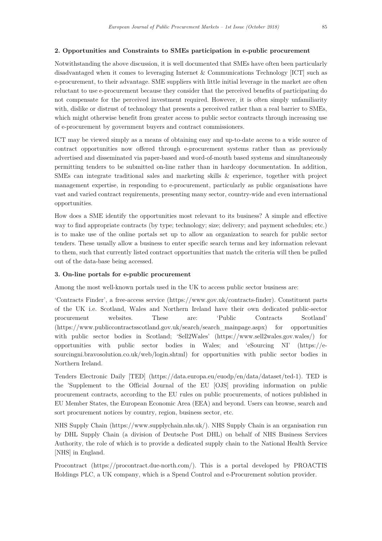## 2. Opportunities and Constraints to SMEs participation in e-public procurement

Notwithstanding the above discussion, it is well documented that SMEs have often been particularly disadvantaged when it comes to leveraging Internet & Communications Technology [ICT] such as e-procurement, to their advantage. SME suppliers with little initial leverage in the market are often reluctant to use e-procurement because they consider that the perceived benefits of participating do not compensate for the perceived investment required. However, it is often simply unfamiliarity with, dislike or distrust of technology that presents a perceived rather than a real barrier to SMEs, which might otherwise benefit from greater access to public sector contracts through increasing use of e-procurement by government buyers and contract commissioners.

ICT may be viewed simply as a means of obtaining easy and up-to-date access to a wide source of contract opportunities now offered through e-procurement systems rather than as previously advertised and disseminated via paper-based and word-of-mouth based systems and simultaneously permitting tenders to be submitted on-line rather than in hardcopy documentation. In addition, SMEs can integrate traditional sales and marketing skills & experience, together with project management expertise, in responding to e-procurement, particularly as public organisations have vast and varied contract requirements, presenting many sector, country-wide and even international opportunities.

How does a SME identify the opportunities most relevant to its business? A simple and effective way to find appropriate contracts (by type; technology; size; delivery; and payment schedules; etc.) is to make use of the online portals set up to allow an organization to search for public sector tenders. These usually allow a business to enter specific search terms and key information relevant to them, such that currently listed contract opportunities that match the criteria will then be pulled out of the data-base being accessed.

#### 3. On-line portals for e-public procurement

Among the most well-known portals used in the UK to access public sector business are:

'Contracts Finder', a free-access service (https://www.gov.uk/contracts-finder). Constituent parts of the UK i.e. Scotland, Wales and Northern Ireland have their own dedicated public-sector procurement websites. These are: 'Public Contracts Scotland' (https://www.publiccontractsscotland.gov.uk/search/search\_mainpage.aspx) for opportunities with public sector bodies in Scotland; 'Sell2Wales' (https://www.sell2wales.gov.wales/) for opportunities with public sector bodies in Wales; and 'eSourcing NI' (https://esourcingni.bravosolution.co.uk/web/login.shtml) for opportunities with public sector bodies in Northern Ireland.

Tenders Electronic Daily [TED] (https://data.europa.eu/euodp/en/data/dataset/ted-1). TED is the 'Supplement to the Official Journal of the EU [OJS] providing information on public procurement contracts, according to the EU rules on public procurements, of notices published in EU Member States, the European Economic Area (EEA) and beyond. Users can browse, search and sort procurement notices by country, region, business sector, etc.

NHS Supply Chain (https://www.supplychain.nhs.uk/). NHS Supply Chain is an organisation run by DHL Supply Chain (a division of Deutsche Post DHL) on behalf of NHS Business Services Authority, the role of which is to provide a dedicated supply chain to the National Health Service [NHS] in England.

Procontract (https://procontract.due-north.com/). This is a portal developed by PROACTIS Holdings PLC, a UK company, which is a Spend Control and e-Procurement solution provider.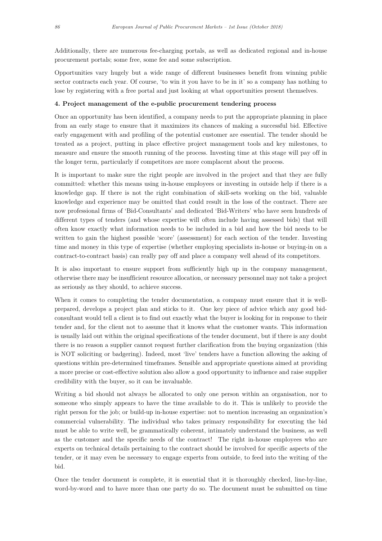Additionally, there are numerous fee-charging portals, as well as dedicated regional and in-house procurement portals; some free, some fee and some subscription.

Opportunities vary hugely but a wide range of different businesses benefit from winning public sector contracts each year. Of course, 'to win it you have to be in it' so a company has nothing to lose by registering with a free portal and just looking at what opportunities present themselves.

#### 4. Project management of the e-public procurement tendering process

Once an opportunity has been identified, a company needs to put the appropriate planning in place from an early stage to ensure that it maximizes its chances of making a successful bid. Effective early engagement with and profiling of the potential customer are essential. The tender should be treated as a project, putting in place effective project management tools and key milestones, to measure and ensure the smooth running of the process. Investing time at this stage will pay off in the longer term, particularly if competitors are more complacent about the process.

It is important to make sure the right people are involved in the project and that they are fully committed: whether this means using in-house employees or investing in outside help if there is a knowledge gap. If there is not the right combination of skill-sets working on the bid, valuable knowledge and experience may be omitted that could result in the loss of the contract. There are now professional firms of 'Bid-Consultants' and dedicated 'Bid-Writers' who have seen hundreds of different types of tenders (and whose expertise will often include having assessed bids) that will often know exactly what information needs to be included in a bid and how the bid needs to be written to gain the highest possible 'score' (assessment) for each section of the tender. Investing time and money in this type of expertise (whether employing specialists in-house or buying-in on a contract-to-contract basis) can really pay off and place a company well ahead of its competitors.

It is also important to ensure support from sufficiently high up in the company management, otherwise there may be insufficient resource allocation, or necessary personnel may not take a project as seriously as they should, to achieve success.

When it comes to completing the tender documentation, a company must ensure that it is wellprepared, develops a project plan and sticks to it. One key piece of advice which any good bidconsultant would tell a client is to find out exactly what the buyer is looking for in response to their tender and, for the client not to assume that it knows what the customer wants. This information is usually laid out within the original specifications of the tender document, but if there is any doubt there is no reason a supplier cannot request further clarification from the buying organization (this is NOT soliciting or badgering). Indeed, most 'live' tenders have a function allowing the asking of questions within pre-determined timeframes. Sensible and appropriate questions aimed at providing a more precise or cost-effective solution also allow a good opportunity to influence and raise supplier credibility with the buyer, so it can be invaluable.

Writing a bid should not always be allocated to only one person within an organisation, nor to someone who simply appears to have the time available to do it. This is unlikely to provide the right person for the job; or build-up in-house expertise: not to mention increasing an organization's commercial vulnerability. The individual who takes primary responsibility for executing the bid must be able to write well, be grammatically coherent, intimately understand the business, as well as the customer and the specific needs of the contract! The right in-house employees who are experts on technical details pertaining to the contract should be involved for specific aspects of the tender, or it may even be necessary to engage experts from outside, to feed into the writing of the bid.

Once the tender document is complete, it is essential that it is thoroughly checked, line-by-line, word-by-word and to have more than one party do so. The document must be submitted on time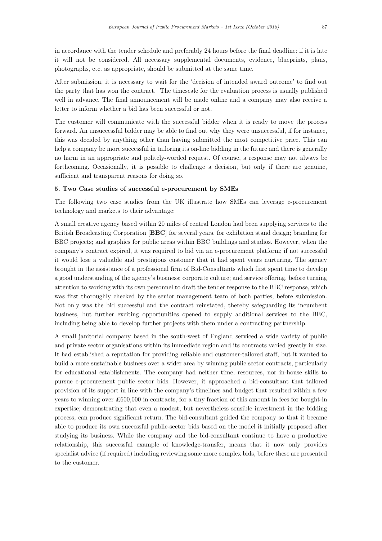in accordance with the tender schedule and preferably 24 hours before the final deadline: if it is late it will not be considered. All necessary supplemental documents, evidence, blueprints, plans, photographs, etc. as appropriate, should be submitted at the same time.

After submission, it is necessary to wait for the 'decision of intended award outcome' to find out the party that has won the contract. The timescale for the evaluation process is usually published well in advance. The final announcement will be made online and a company may also receive a letter to inform whether a bid has been successful or not.

The customer will communicate with the successful bidder when it is ready to move the process forward. An unsuccessful bidder may be able to find out why they were unsuccessful, if for instance, this was decided by anything other than having submitted the most competitive price. This can help a company be more successful in tailoring its on-line bidding in the future and there is generally no harm in an appropriate and politely-worded request. Of course, a response may not always be forthcoming. Occasionally, it is possible to challenge a decision, but only if there are genuine, sufficient and transparent reasons for doing so.

#### 5. Two Case studies of successful e-procurement by SMEs

The following two case studies from the UK illustrate how SMEs can leverage e-procurement technology and markets to their advantage:

A small creative agency based within 20 miles of central London had been supplying services to the British Broadcasting Corporation [BBC] for several years, for exhibition stand design; branding for BBC projects; and graphics for public areas within BBC buildings and studios. However, when the company's contract expired, it was required to bid via an e-procurement platform; if not successful it would lose a valuable and prestigious customer that it had spent years nurturing. The agency brought in the assistance of a professional firm of Bid-Consultants which first spent time to develop a good understanding of the agency's business; corporate culture; and service offering, before turning attention to working with its own personnel to draft the tender response to the BBC response, which was first thoroughly checked by the senior management team of both parties, before submission. Not only was the bid successful and the contract reinstated, thereby safeguarding its incumbent business, but further exciting opportunities opened to supply additional services to the BBC, including being able to develop further projects with them under a contracting partnership.

A small janitorial company based in the south-west of England serviced a wide variety of public and private sector organisations within its immediate region and its contracts varied greatly in size. It had established a reputation for providing reliable and customer-tailored staff, but it wanted to build a more sustainable business over a wider area by winning public sector contracts, particularly for educational establishments. The company had neither time, resources, nor in-house skills to pursue e-procurement public sector bids. However, it approached a bid-consultant that tailored provision of its support in line with the company's timelines and budget that resulted within a few years to winning over £600,000 in contracts, for a tiny fraction of this amount in fees for bought-in expertise; demonstrating that even a modest, but nevertheless sensible investment in the bidding process, can produce significant return. The bid-consultant guided the company so that it became able to produce its own successful public-sector bids based on the model it initially proposed after studying its business. While the company and the bid-consultant continue to have a productive relationship, this successful example of knowledge-transfer, means that it now only provides specialist advice (if required) including reviewing some more complex bids, before these are presented to the customer.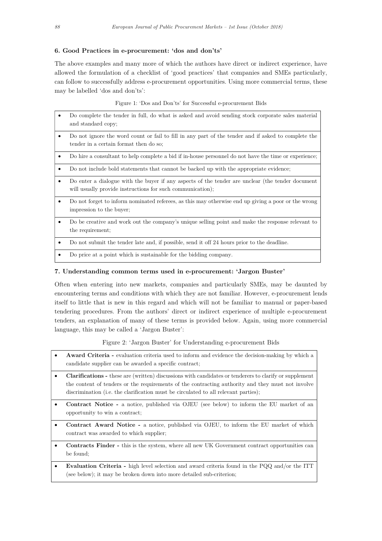## 6. Good Practices in e-procurement: 'dos and don'ts'

The above examples and many more of which the authors have direct or indirect experience, have allowed the formulation of a checklist of 'good practices' that companies and SMEs particularly, can follow to successfully address e-procurement opportunities. Using more commercial terms, these may be labelled 'dos and don'ts':

Figure 1: 'Dos and Don'ts' for Successful e-procurement Bids

- Do complete the tender in full, do what is asked and avoid sending stock corporate sales material and standard copy;
- Do not ignore the word count or fail to fill in any part of the tender and if asked to complete the tender in a certain format then do so;
- Do hire a consultant to help complete a bid if in-house personnel do not have the time or experience;
- Do not include bold statements that cannot be backed up with the appropriate evidence;
- Do enter a dialogue with the buyer if any aspects of the tender are unclear (the tender document will usually provide instructions for such communication);
- Do not forget to inform nominated referees, as this may otherwise end up giving a poor or the wrong impression to the buyer;
- Do be creative and work out the company's unique selling point and make the response relevant to the requirement;
- Do not submit the tender late and, if possible, send it off 24 hours prior to the deadline.
- Do price at a point which is sustainable for the bidding company.

#### 7. Understanding common terms used in e-procurement: 'Jargon Buster'

Often when entering into new markets, companies and particularly SMEs, may be daunted by encountering terms and conditions with which they are not familiar. However, e-procurement lends itself to little that is new in this regard and which will not be familiar to manual or paper-based tendering procedures. From the authors' direct or indirect experience of multiple e-procurement tenders, an explanation of many of these terms is provided below. Again, using more commercial language, this may be called a 'Jargon Buster':

Figure 2: 'Jargon Buster' for Understanding e-procurement Bids

- Award Criteria evaluation criteria used to inform and evidence the decision-making by which a candidate supplier can be awarded a specific contract;
- Clarifications these are (written) discussions with candidates or tenderers to clarify or supplement the content of tenders or the requirements of the contracting authority and they must not involve discrimination (i.e. the clarification must be circulated to all relevant parties);
- Contract Notice a notice, published via OJEU (see below) to inform the EU market of an opportunity to win a contract;
- Contract Award Notice a notice, published via OJEU, to inform the EU market of which contract was awarded to which supplier;
- Contracts Finder this is the system, where all new UK Government contract opportunities can be found;
- Evaluation Criteria high level selection and award criteria found in the PQQ and/or the ITT (see below); it may be broken down into more detailed sub-criterion;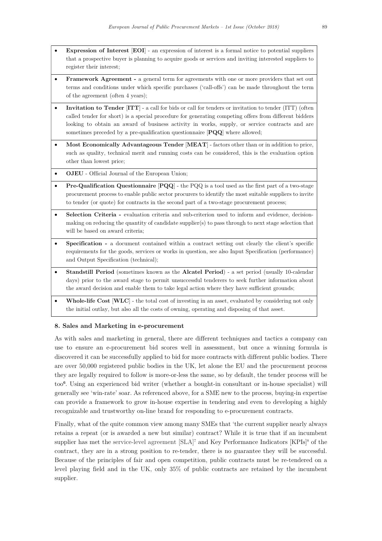- Expression of Interest [EOI] an expression of interest is a formal notice to potential suppliers that a prospective buyer is planning to acquire goods or services and inviting interested suppliers to register their interest;
- Framework Agreement a general term for agreements with one or more providers that set out terms and conditions under which specific purchases ('call-offs') can be made throughout the term of the agreement (often 4 years);
- Invitation to Tender [ITT] a call for bids or call for tenders or invitation to tender (ITT) (often called tender for short) is a special procedure for generating competing offers from different bidders looking to obtain an award of business activity in works, supply, or service contracts and are sometimes preceded by a pre-qualification questionnaire [PQQ] where allowed;
- Most Economically Advantageous Tender [MEAT] factors other than or in addition to price, such as quality, technical merit and running costs can be considered, this is the evaluation option other than lowest price;
- OJEU Official Journal of the European Union;
- **Pre-Qualification Questionnaire**  $[PQQ]$  the PQQ is a tool used as the first part of a two-stage procurement process to enable public sector procurers to identify the most suitable suppliers to invite to tender (or quote) for contracts in the second part of a two-stage procurement process;
- Selection Criteria evaluation criteria and sub-criterion used to inform and evidence, decisionmaking on reducing the quantity of candidate supplier(s) to pass through to next stage selection that will be based on award criteria;
- Specification a document contained within a contract setting out clearly the client's specific requirements for the goods, services or works in question, see also Input Specification (performance) and Output Specification (technical);
- Standstill Period (sometimes known as the Alcatel Period) a set period (usually 10-calendar days) prior to the award stage to permit unsuccessful tenderers to seek further information about the award decision and enable them to take legal action where they have sufficient grounds;
- Whole-life Cost [WLC] the total cost of investing in an asset, evaluated by considering not only the initial outlay, but also all the costs of owning, operating and disposing of that asset.

## 8. Sales and Marketing in e-procurement

As with sales and marketing in general, there are different techniques and tactics a company can use to ensure an e-procurement bid scores well in assessment, but once a winning formula is discovered it can be successfully applied to bid for more contracts with different public bodies. There are over 50,000 registered public bodies in the UK, let alone the EU and the procurement process they are legally required to follow is more-or-less the same, so by default, the tender process will be too<sup>6</sup> . Using an experienced bid writer (whether a bought-in consultant or in-house specialist) will generally see 'win-rate' soar. As referenced above, for a SME new to the process, buying-in expertise can provide a framework to grow in-house expertise in tendering and even to developing a highly recognizable and trustworthy on-line brand for responding to e-procurement contracts.

Finally, what of the quite common view among many SMEs that 'the current supplier nearly always retains a repeat (or is awarded a new but similar) contract? While it is true that if an incumbent supplier has met the service-level agreement  $[\text{SLA}]^7$  and Key Performance Indicators  $[\text{KPIs}]^8$  of the contract, they are in a strong position to re-tender, there is no guarantee they will be successful. Because of the principles of fair and open competition, public contracts must be re-tendered on a level playing field and in the UK, only 35% of public contracts are retained by the incumbent supplier.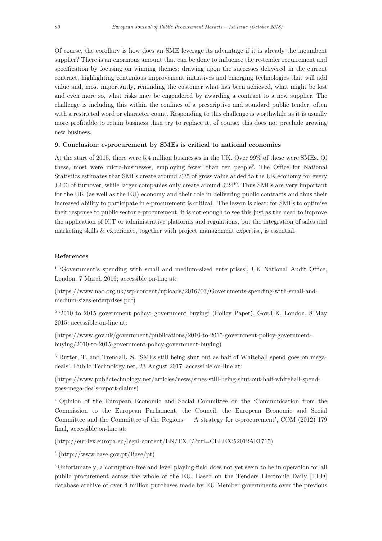Of course, the corollary is how does an SME leverage its advantage if it is already the incumbent supplier? There is an enormous amount that can be done to influence the re-tender requirement and specification by focusing on winning themes: drawing upon the successes delivered in the current contract, highlighting continuous improvement initiatives and emerging technologies that will add value and, most importantly, reminding the customer what has been achieved, what might be lost and even more so, what risks may be engendered by awarding a contract to a new supplier. The challenge is including this within the confines of a prescriptive and standard public tender, often with a restricted word or character count. Responding to this challenge is worthwhile as it is usually more profitable to retain business than try to replace it, of course, this does not preclude growing new business.

## 9. Conclusion: e-procurement by SMEs is critical to national economies

At the start of 2015, there were 5.4 million businesses in the UK. Over 99% of these were SMEs. Of these, most were micro-businesses, employing fewer than ten people<sup>9</sup> . The Office for National Statistics estimates that SMEs create around £35 of gross value added to the UK economy for every £100 of turnover, while larger companies only create around £24<sup>10</sup>. Thus SMEs are very important for the UK (as well as the EU) economy and their role in delivering public contracts and thus their increased ability to participate in e-procurement is critical. The lesson is clear: for SMEs to optimise their response to public sector e-procurement, it is not enough to see this just as the need to improve the application of ICT or administrative platforms and regulations, but the integration of sales and marketing skills & experience, together with project management expertise, is essential.

## References

<sup>1</sup> 'Government's spending with small and medium-sized enterprises', UK National Audit Office, London, 7 March 2016; accessible on-line at:

(https://www.nao.org.uk/wp-content/uploads/2016/03/Governments-spending-with-small-andmedium-sizes-enterprises.pdf)

<sup>2</sup>'2010 to 2015 government policy: government buying' (Policy Paper), Gov.UK, London, 8 May 2015; accessible on-line at:

(https://www.gov.uk/government/publications/2010-to-2015-government-policy-governmentbuying/2010-to-2015-government-policy-government-buying)

<sup>3</sup> Rutter, T. and Trendall, S. 'SMEs still being shut out as half of Whitehall spend goes on megadeals', Public Technology.net, 23 August 2017; accessible on-line at:

(https://www.publictechnology.net/articles/news/smes-still-being-shut-out-half-whitehall-spendgoes-mega-deals-report-claims)

<sup>4</sup>Opinion of the European Economic and Social Committee on the 'Communication from the Commission to the European Parliament, the Council, the European Economic and Social Committee and the Committee of the Regions — A strategy for e-procurement', COM (2012) 179 final, accessible on-line at:

(http://eur-lex.europa.eu/legal-content/EN/TXT/?uri=CELEX:52012AE1715)

5 (http://www.base.gov.pt/Base/pt)

<sup>6</sup>Unfortunately, a corruption-free and level playing-field does not yet seem to be in operation for all public procurement across the whole of the EU. Based on the Tenders Electronic Daily [TED] database archive of over 4 million purchases made by EU Member governments over the previous